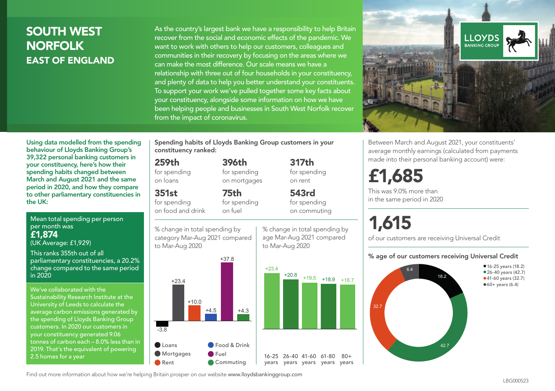## SOUTH WEST NORFOLK EAST OF ENGLAND

As the country's largest bank we have a responsibility to help Britain recover from the social and economic effects of the pandemic. We want to work with others to help our customers, colleagues and communities in their recovery by focusing on the areas where we can make the most difference. Our scale means we have a relationship with three out of four households in your constituency, and plenty of data to help you better understand your constituents. To support your work we've pulled together some key facts about your constituency, alongside some information on how we have been helping people and businesses in South West Norfolk recover from the impact of coronavirus.



Between March and August 2021, your constituents' average monthly earnings (calculated from payments made into their personal banking account) were:

## £1,685

This was 9.0% more than in the same period in 2020

# 1,615

of our customers are receiving Universal Credit

#### % age of our customers receiving Universal Credit



Using data modelled from the spending behaviour of Lloyds Banking Group's 39,322 personal banking customers in your constituency, here's how their spending habits changed between March and August 2021 and the same period in 2020, and how they compare to other parliamentary constituencies in the UK:

Mean total spending per person per month was £1,874 (UK Average: £1,929)

This ranks 355th out of all parliamentary constituencies, a 20.2% change compared to the same period in 2020

We've collaborated with the Sustainability Research Institute at the University of Leeds to calculate the average carbon emissions generated by the spending of Lloyds Banking Group customers. In 2020 our customers in your constituency generated 9.06 tonnes of carbon each – 8.0% less than in 2019. That's the equivalent of powering 2.5 homes for a year

Spending habits of Lloyds Banking Group customers in your constituency ranked:

> 396th for spending on mortgages

75th for spending on fuel

### 259th

for spending on loans

351st

for spending on food and drink

% change in total spending by





% change in total spending by on commuting

317th for spending on rent

543rd for spending

age Mar-Aug 2021 compared to Mar-Aug 2020

 $80 +$